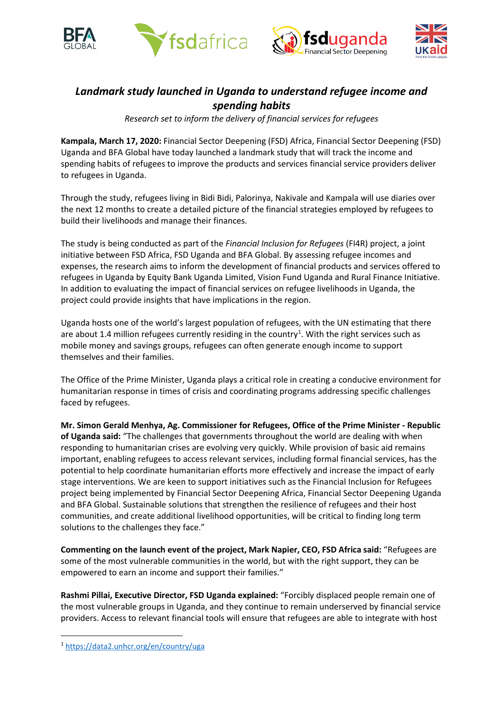





# *Landmark study launched in Uganda to understand refugee income and spending habits*

*Research set to inform the delivery of financial services for refugees*

**Kampala, March 17, 2020:** Financial Sector Deepening (FSD) Africa, Financial Sector Deepening (FSD) Uganda and BFA Global have today launched a landmark study that will track the income and spending habits of refugees to improve the products and services financial service providers deliver to refugees in Uganda.

Through the study, refugees living in Bidi Bidi, Palorinya, Nakivale and Kampala will use diaries over the next 12 months to create a detailed picture of the financial strategies employed by refugees to build their livelihoods and manage their finances.

The study is being conducted as part of the *Financial Inclusion for Refugees* (FI4R) project, a joint initiative between FSD Africa, FSD Uganda and BFA Global. By assessing refugee incomes and expenses, the research aims to inform the development of financial products and services offered to refugees in Uganda by Equity Bank Uganda Limited, Vision Fund Uganda and Rural Finance Initiative. In addition to evaluating the impact of financial services on refugee livelihoods in Uganda, the project could provide insights that have implications in the region.

Uganda hosts one of the world's largest population of refugees, with the UN estimating that there are about [1](#page-0-0).4 million refugees currently residing in the country<sup>1</sup>. With the right services such as mobile money and savings groups, refugees can often generate enough income to support themselves and their families.

The Office of the Prime Minister, Uganda plays a critical role in creating a conducive environment for humanitarian response in times of crisis and coordinating programs addressing specific challenges faced by refugees.

**Mr. Simon Gerald Menhya, Ag. Commissioner for Refugees, Office of the Prime Minister - Republic of Uganda said:** "The challenges that governments throughout the world are dealing with when responding to humanitarian crises are evolving very quickly. While provision of basic aid remains important, enabling refugees to access relevant services, including formal financial services, has the potential to help coordinate humanitarian efforts more effectively and increase the impact of early stage interventions. We are keen to support initiatives such as the Financial Inclusion for Refugees project being implemented by Financial Sector Deepening Africa, Financial Sector Deepening Uganda and BFA Global. Sustainable solutions that strengthen the resilience of refugees and their host communities, and create additional livelihood opportunities, will be critical to finding long term solutions to the challenges they face."

**Commenting on the launch event of the project, Mark Napier, CEO, FSD Africa said:** "Refugees are some of the most vulnerable communities in the world, but with the right support, they can be empowered to earn an income and support their families."

**Rashmi Pillai, Executive Director, FSD Uganda explained:** "Forcibly displaced people remain one of the most vulnerable groups in Uganda, and they continue to remain underserved by financial service providers. Access to relevant financial tools will ensure that refugees are able to integrate with host

<span id="page-0-0"></span><sup>1</sup> <https://data2.unhcr.org/en/country/uga>